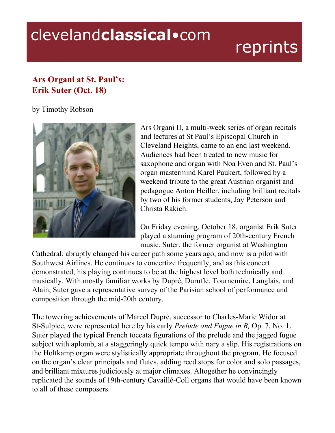## clevelandclassical.com

## reprints

## **Ars Organi at St. Paul's: Erik Suter (Oct. 18)**

by Timothy Robson



Ars Organi II, a multi-week series of organ recitals and lectures at St Paul's Episcopal Church in Cleveland Heights, came to an end last weekend. Audiences had been treated to new music for saxophone and organ with Noa Even and St. Paul's organ mastermind Karel Paukert, followed by a weekend tribute to the great Austrian organist and pedagogue Anton Heiller, including brilliant recitals by two of his former students, Jay Peterson and Christa Rakich.

On Friday evening, October 18, organist Erik Suter played a stunning program of 20th-century French music. Suter, the former organist at Washington

Cathedral, abruptly changed his career path some years ago, and now is a pilot with Southwest Airlines. He continues to concertize frequently, and as this concert demonstrated, his playing continues to be at the highest level both technically and musically. With mostly familiar works by Dupré, Duruflé, Tournemire, Langlais, and Alain, Suter gave a representative survey of the Parisian school of performance and composition through the mid-20th century.

The towering achievements of Marcel Dupré, successor to Charles-Marie Widor at St-Sulpice, were represented here by his early *Prelude and Fugue in B,* Op. 7, No. 1. Suter played the typical French toccata figurations of the prelude and the jagged fugue subject with aplomb, at a staggeringly quick tempo with nary a slip. His registrations on the Holtkamp organ were stylistically appropriate throughout the program. He focused on the organ's clear principals and flutes, adding reed stops for color and solo passages, and brilliant mixtures judiciously at major climaxes. Altogether he convincingly replicated the sounds of 19th-century Cavaillé-Coll organs that would have been known to all of these composers.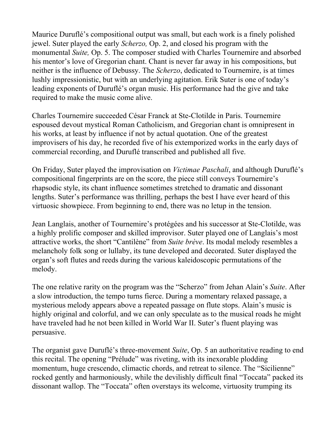Maurice Duruflé's compositional output was small, but each work is a finely polished jewel. Suter played the early *Scherzo,* Op. 2, and closed his program with the monumental *Suite,* Op. 5. The composer studied with Charles Tournemire and absorbed his mentor's love of Gregorian chant. Chant is never far away in his compositions, but neither is the influence of Debussy. The *Scherzo*, dedicated to Tournemire, is at times lushly impressionistic, but with an underlying agitation. Erik Suter is one of today's leading exponents of Duruflé's organ music. His performance had the give and take required to make the music come alive.

Charles Tournemire succeeded César Franck at Ste-Clotilde in Paris. Tournemire espoused devout mystical Roman Catholicism, and Gregorian chant is omnipresent in his works, at least by influence if not by actual quotation. One of the greatest improvisers of his day, he recorded five of his extemporized works in the early days of commercial recording, and Duruflé transcribed and published all five.

On Friday, Suter played the improvisation on *Victimae Paschali*, and although Duruflé's compositional fingerprints are on the score, the piece still conveys Tournemire's rhapsodic style, its chant influence sometimes stretched to dramatic and dissonant lengths. Suter's performance was thrilling, perhaps the best I have ever heard of this virtuosic showpiece. From beginning to end, there was no letup in the tension.

Jean Langlais, another of Tournemire's protégées and his successor at Ste-Clotilde, was a highly prolific composer and skilled improvisor. Suter played one of Langlais's most attractive works, the short "Cantilène" from *Suite brève*. Its modal melody resembles a melancholy folk song or lullaby, its tune developed and decorated. Suter displayed the organ's soft flutes and reeds during the various kaleidoscopic permutations of the melody.

The one relative rarity on the program was the "Scherzo" from Jehan Alain's *Suite*. After a slow introduction, the tempo turns fierce. During a momentary relaxed passage, a mysterious melody appears above a repeated passage on flute stops. Alain's music is highly original and colorful, and we can only speculate as to the musical roads he might have traveled had he not been killed in World War II. Suter's fluent playing was persuasive.

The organist gave Duruflé's three-movement *Suite*, Op. 5 an authoritative reading to end this recital. The opening "Prélude" was riveting, with its inexorable plodding momentum, huge crescendo, climactic chords, and retreat to silence. The "Sicilienne" rocked gently and harmoniously, while the devilishly difficult final "Toccata" packed its dissonant wallop. The "Toccata" often overstays its welcome, virtuosity trumping its